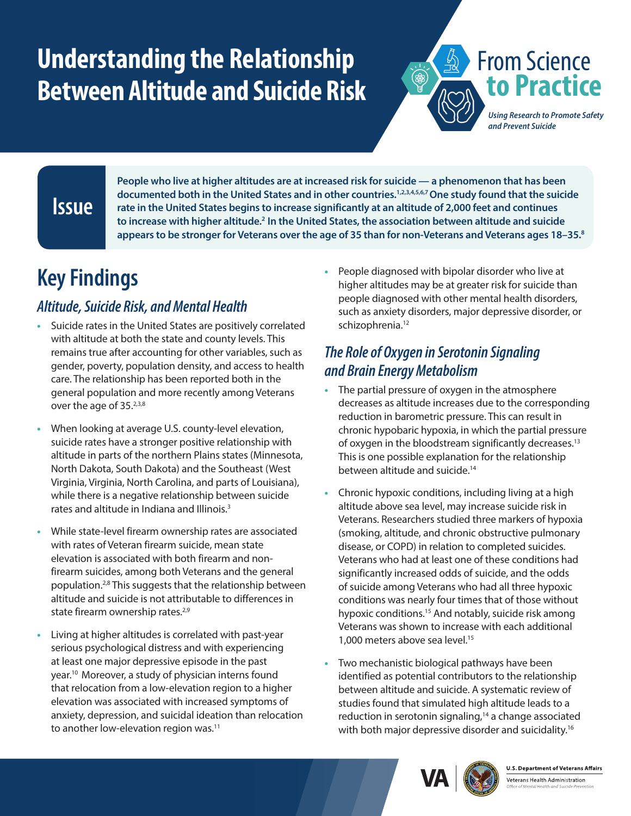# <span id="page-0-0"></span>**Understanding the Relationship Between Altitude and Suicide Risk**



*Using Research to Promote Safety and Prevent Suicide*

#### **Issue**

**People who live at higher altitudes are at increased risk for suicide — a phenomenon that has been documented both in the United States and in other countries.[1,2,3,4,5,6,7O](#page-1-0)ne study found that the suicide rate in the United States begins to increase significantly at an altitude of 2,000 feet and continues to increase with higher altitude[.2](#page-1-1) In the United States, the association between altitude and suicide appears to be stronger for Veterans over the age of 35 than for non-Veterans and Veterans ages 18–35[.8](#page-1-0)**

## **Key Findings**

#### *Altitude, Suicide Risk, and Mental Health*

- **•** Suicide rates in the United States are positively correlated with altitude at both the state and county levels. This remains true after accounting for other variables, such as gender, poverty, population density, and access to health care. The relationship has been reported both in the general population and more recently among Veterans over the age of 35.<sup>2,[3,](#page-1-2)[8](#page-1-3)</sup>
- **•** When looking at average U.S. county-level elevation, suicide rates have a stronger positive relationship with altitude in parts of the northern Plains states (Minnesota, North Dakota, South Dakota) and the Southeast (West Virginia, Virginia, North Carolina, and parts of Louisiana), while there is a negative relationship between suicide rates and altitude in Indiana and Illinois.<sup>[3](#page-1-2)</sup>
- **•** While state-level firearm ownership rates are associated with rates of Veteran firearm suicide, mean state elevation is associated with both firearm and nonfirearm suicides, among both Veterans and the general population.<sup>[2,](#page-1-1)[8](#page-1-3)</sup> This suggests that the relationship between altitude and suicide is not attributable to differences in state firearm ownership rates.<sup>2[,9](#page-1-0)</sup>
- **•** Living at higher altitudes is correlated with past-year serious psychological distress and with experiencing at least one major depressive episode in the past year[.10](#page-1-0) Moreover, a study of physician interns found that relocation from a low-elevation region to a higher elevation was associated with increased symptoms of anxiety, depression, and suicidal ideation than relocation to another low-elevation region was.<sup>11</sup>

**•** People diagnosed with bipolar disorder who live at higher altitudes may be at greater risk for suicide than people diagnosed with other mental health disorders, such as anxiety disorders, major depressive disorder, or schizophrenia.<sup>12</sup>

#### *The Role of Oxygen in Serotonin Signaling and Brain Energy Metabolism*

- **•** The partial pressure of oxygen in the atmosphere decreases as altitude increases due to the corresponding reduction in barometric pressure. This can result in chronic hypobaric hypoxia, in which the partial pressure of oxygen in the bloodstream significantly decreases.<sup>13</sup> This is one possible explanation for the relationship between altitude and suicide.<sup>14</sup>
- **•** Chronic hypoxic conditions, including living at a high altitude above sea level, may increase suicide risk in Veterans. Researchers studied three markers of hypoxia (smoking, altitude, and chronic obstructive pulmonary disease, or COPD) in relation to completed suicides. Veterans who had at least one of these conditions had significantly increased odds of suicide, and the odds of suicide among Veterans who had all three hypoxic conditions was nearly four times that of those without hypoxic conditions.<sup>15</sup> And notably, suicide risk among Veterans was shown to increase with each additional 1,000 meters above sea level.[15](#page-1-4)
- **•** Two mechanistic biological pathways have been identified as potential contributors to the relationship between altitude and suicide. A systematic review of studies found that simulated high altitude leads to a reduction in serotonin signaling, $14$  a change associated with both major depressive disorder and suicidality.<sup>[16](#page-1-0)</sup>